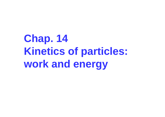**Chap. 14 Kinetics of particles: work and energy**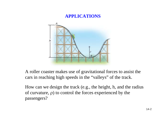#### **APPLICATIONS**



A roller coaster makes use of gravitational forces to assist the cars in reaching high speeds in the "valleys" of the track.

How can we design the track (e.g., the height, h, and the radius of curvature,  $\rho$ ) to control the forces experienced by the passengers?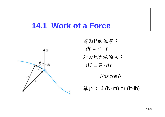## **14.1 Work of a Force**



質點P的位移: *d***r** = **r'** - **r**外力 F所做的功: 單位: J (N-m) or (ft-lb)  $= Fds \cos \theta$  $dU = F \cdot dr$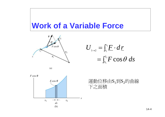## **Work of a Variable Force**



 $= \int_{S_1}^{S_2}$ ∫  $=$   $\vdash$   $\Gamma$   $\cdot$  $\rightarrow$ 12  $1\rightarrow 2$   $J_{r_1}$ cos *S Sr r*  $F\cos\theta$  ds  $U_{\perp}$  =  $\int^{\tau_2} F \cdot d\,r$ 

 $(a)$ 



運動位移由S $_1$ 到S $_2$ 的曲線 下之面積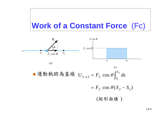## **Work of a Constant Force (Fc)**



◆運動軌跡為直線  $U_{1\rightarrow 2} = F_C \cos \theta \int_{S_1}^{S_2} ds$ 

 $= F_C \cos \theta (S_2 - S_1)$ 

(矩形面積)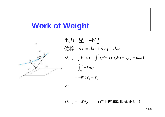## **Work of Weight**



$$
\begin{aligned}\n\mathbf{E} \mathbf{J} & \mathbf{W} = -W \mathbf{j} \\
\mathbf{W} & \mathbf{W} = d\mathbf{x} \mathbf{i} + d\mathbf{y} \mathbf{j} + d\mathbf{z} \mathbf{k} \\
U_{1 \to 2} &= \int \mathbf{F} \cdot d\mathbf{r} = \int_{r_1}^{r_2} (-W \mathbf{j}) \cdot (dx \mathbf{i} + dy \mathbf{j} + dz \mathbf{k}) \\
&= \int_{y_1}^{y_2} -W dy \\
&= -W(y_2 - y_1)\n\end{aligned}
$$

*or*

 $U_{1\rightarrow 2}$  = −W∆y (往下做運動時做正功 )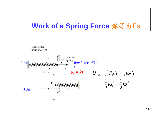### Work of a Spring Force 彈簧力Fs

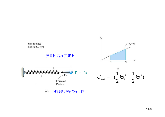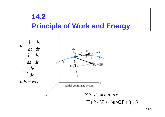# $14.2$ **Principle of Work and Energy**

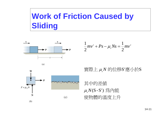# **Work of Friction Caused by Sliding**



 $(a)$ 

W

 $(b)$ 

 $F = \mu_k N$ 

$$
\frac{1}{2}mv^{2} + Ps - \mu_{k}Ns = \frac{1}{2}mv^{2}
$$

實際上μN的位移S'應小於S

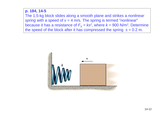#### **p. 184, 14-5**  The 1.5-kg block slides along a smooth plane and strikes a *nonlinear spring* with a speed of  $v = 4$  m/s. The spring is termed "nonlinear" because it has a resistance of  $F_s = ks^2$ , where  $k = 900$  N/m<sup>2</sup>. Determine the speed of the block after it has compressed the spring  $s = 0.2$  m.

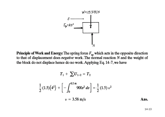

**Principle of Work and Energy:** The spring force  $F_{sp}$  which acts in the opposite direction to that of displacement does *negative* work. The normal reaction N and the weight of the block do not displace hence do no work. Applying Eq. 14–7, we have

$$
T_1 + \sum U_{1-2} = T_2
$$
  
\n
$$
\frac{1}{2} (1.5) (4^2) + \left[ - \int_0^{0.2 \text{ m}} 900s^2 ds \right] = \frac{1}{2} (1.5) v^2
$$
  
\n $v = 3.58 \text{ m/s}$  Ans.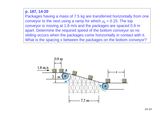#### **p. 187, 14-20**

Packages having a mass of 7.5 kg are transferred horizontally from one conveyor to the next using a ramp for which  $\mu_k = 0.15$ . The top conveyor is moving at 1.8 m/s and the packages are spaced 0.9 m apart. Determine the required speed of the bottom conveyor so no sliding occurs when the packages come horizontally in contact with it. What is the spacing *s* between the packages on the bottom conveyor?

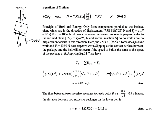$7.5(9.81) N$  $5 - 0.151$ 

**Equations of Motion:** 

$$
+ \Sigma F_{y'} = ma_{y}; \qquad N - 7.5(9.81) \left(\frac{24}{25}\right) = 7.5(0) \qquad N = 70.63 \text{ N}
$$

Principle of Work and Energy: Only force components parallel to the inclined plane which are in the direction of displacement [7.5(9.81)(7/25) N and  $F_f = \mu_k N$  $= 0.15(70.63) = 10.59$  N do work, whereas the force components perpendicular to the inclined plane  $[7.5(9.81)(24/25)$  N and normal reaction N do no work since no displacement occurs in this direction. Here, the  $7.5(9.81)(7/25)$  N force does *positive* work and  $F_f$  = 10.59 N does *negative* work. Slipping at the contact surface between the package and the belt will not occur if the speed of belt is the same as the speed of the package at B. Applying Eq.  $14-7$ , we have

$$
T_1 + \sum U_{1-2} = T_2
$$

$$
\frac{1}{2}(7.5)(1.8^2) + 7.5(9.81)\left(\frac{7}{25}\right)\left(\sqrt{2.1^2 + 7.2^2}\right) - 10.59\left(\sqrt{2.1^2 + 7.2^2}\right) = \frac{1}{2}(7.5)v^2
$$
\n
$$
v = 4.823 \text{ m/s}
$$

The time between two succesive packages to reach point B is  $t = \frac{0.9}{1.8} = 0.5$  s. Hence, the distance between two succesive packages on the lower belt is

$$
s = vt = 4.823(0.5) = 2.412 \,\mathrm{m} \tag{Ans. } 4.15
$$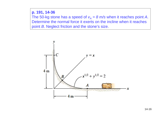#### **p. 191, 14-36**

The 50-kg stone has a speed of  $v_A = 8$  m/s when it reaches point A. Determine the normal force it exerts on the incline when it reaches point *B*. Neglect friction and the stone's size.

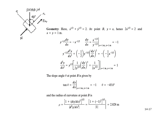$$
50(9.81)\text{ N}
$$
\n
$$
45^{\circ}
$$
\n
$$
45^{\circ}
$$
\n
$$
70\text{ N}
$$
\n
$$
x = y = 1 \text{ m}.
$$
\n
$$
y^{-1/2} \frac{dy}{dx} = -x^{-1/2}
$$
\n
$$
\frac{dy}{dx} = \frac{x^{-1/2}}{y^{-1/2}}|_{x=1 \text{ m}, y=1 \text{ m}} = -1
$$

$$
y^{-1/2}\frac{d^2y}{dx^2} + \left(-\frac{1}{2}\right)y^{-3/2}\left(\frac{dy}{dx}\right)^2 = -\left(-\frac{1}{2}x^{-3/2}\right)
$$

$$
\frac{d^2y}{dx^2} = y^{1/2}\left[\frac{1}{2y^{3/2}}\left(\frac{dy}{dx}\right)^2 + \frac{1}{2x^{3/2}}\right]\Big|_{x=1 \text{ m, } y=1 \text{ m}} = 1
$$

The slope angle  $\theta$  at point  $B$  is given by

ち、

$$
\tan \theta = \frac{dy}{dx}\bigg|_{x=1 \text{ m}, y=1 \text{ m}} = -1 \qquad \theta = -45.0^{\circ}
$$

and the radius of curvature at point  $\boldsymbol{B}$  is

$$
\rho = \frac{\left[1 + (dy/dx)^2\right]^{3/2}}{|d^2y/dx^2|} = \frac{\left[1 + (-1)^2\right]^{3/2}}{|1|} = 2.828 \text{ m}
$$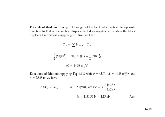Principle of Work and Energy: The weight of the block which acts in the opposite direction to that of the vertical displacement does negative work when the block displaces 1 m vertically. Applying Eq. 14-7, we have

$$
T_A + \sum U_{A-B} = T_B
$$
  

$$
\frac{1}{2}(50)(8^2) - 50(9.81)(1) = \frac{1}{2}(50) v_B^2
$$
  

$$
v_B^2 = 44.38 \text{ m}^2/\text{s}^2
$$

**Equations of Motion:** Applying Eq. 13–8 with  $\theta = 45.0^{\circ}$ ,  $v_B^2 = 44.38 \text{ m}^2/\text{s}^2$  and  $\rho = 2.828$  m, we have

$$
+\sqrt{2}F_n = ma_n;
$$
  $N - 50(9.81) \cos 45^\circ = 50 \left(\frac{44.38}{2.828}\right)$   
 $N = 1131.37 \text{ N} = 1.13 \text{ kN}$ 

$$
= 1131.37 N = 1.13 kN
$$
 Ans.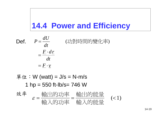# **14.4 Power and Efficiency**

Def.

(功對時間的變化率 )

$$
=\frac{F \cdot d\,r}{dt}
$$

$$
= \underline{F} \cdot \underline{v}
$$

*dt*

 $P = \frac{dU}{dt}$ 

單位:W (watt) = J/s = N-m/s 1 hp = 550 ft-lb/s= 746 W 效率

$$
\varepsilon = \frac{\text{h}_0 \pm \text{h}_0 \pm \text{h}_0}{\text{h}_0 \pm \text{h}_0} = \frac{\text{h}_0 \pm \text{h}_0 \pm \text{h}_0}{\text{h}_0 \pm \text{h}_0} \quad (<1)
$$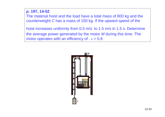#### **p. 197, 14-52**

The material hoist and the load have a total mass of 800 kg and the counterweight *C* has a mass of 150 kg. If the upward speed of the

hoist increases uniformly from 0.5 m/s to 1.5 m/s in 1.5 s. Determine the average power generated by the motor *M* during this time. The motor operates with an efficiency of  $. ε = 0.8$ 

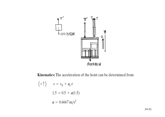

Kinematics: The acceleration of the hoist can be determined from

$$
(+ \uparrow)
$$
  $v = v_0 + a_c t$   
1.5 = 0.5 + a(1.5)  
 $a = 0.6667 \text{ m/s}^2$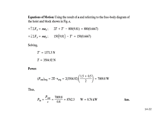Equations of Motion: Using the result of a and referring to the free-body diagram of the hoist and block shown in Fig.  $a$ ,

 $+\uparrow \Sigma F_y = ma_y$ ;  $2T + T' - 800(9.81) = 800(0.6667)$  $+\downarrow \Sigma F_y = ma_y$ ; 150(9.81) – T' = 150(0.6667)

Solving,

$$
T' = 1371.5 \text{ N}
$$

$$
T = 3504.92 \text{ N}
$$

Power:

$$
(P_{\text{out}})_{\text{avg}} = 2\mathbf{T} \cdot \mathbf{v}_{\text{avg}} = 2(3504.92) \left( \frac{1.5 + 0.5}{2} \right) = 7009.8 \text{ W}
$$

Thus,

$$
P_{\text{in}} = \frac{P_{\text{out}}}{g} = \frac{7009.8}{0.8} = 8762.3 \qquad W = 8.76 \text{ kW}
$$
Ans.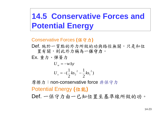# **14.5 Conservative Forces and Potential Energy**

Conservative Forces **(**保守力 **)**

Def. 施於一質點的外力所做的功與路徑無關,只是和位 置有關,則此外力稱為一保守力。

Ex. 重力、彈簧力

$$
U_w = -w\Delta y
$$
  

$$
U_s = -(\frac{1}{2}ks_2^2 - \frac{1}{2}ks_1^2)
$$

摩擦力:non-conservative force 非保守力 Potential Energy **(**位能 **)** Def. 一保守力由一已知位置至基準線所做的功。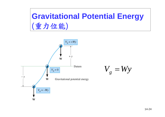# **Gravitational Potential Energy**  (重力位能 )



$$
V_{\stackrel{\scriptstyle g}{\scriptstyle g}}=Wy
$$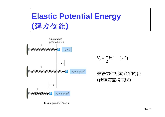# **Elastic Potential Energy** (彈力位能)



$$
V_e = \frac{1}{2}ks^2 \quad (>0)
$$

### 彈簧力作用於質點的功 (使彈簧回復原狀)

Elastic potential energy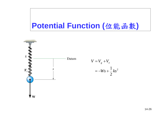## Potential Function (位能函數)



$$
V = Vg + Ve
$$
  
=  $-Ws + \frac{1}{2}ks^2$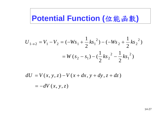## Potential Function (位能函數)

$$
U_{1\to 2} = V_1 - V_2 = (-Ws_1 + \frac{1}{2}ks_1^2) - (-Ws_2 + \frac{1}{2}ks_2^2)
$$
  
=  $W(s_2 - s_1) - (\frac{1}{2}ks_2^2 - \frac{1}{2}ks_1^2)$ 

$$
dU = V(x, y, z) - V(x + dx, y + dy, z + dz)
$$

$$
= -dV(x, y, z)
$$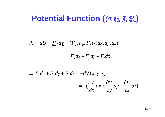## **Potential Function (**位能函數**)**

#### $dU = \underline{F} \cdot d\underline{r} = (F_x, F_y, F_z) \cdot (dx, dy, dz)$  $\mathcal{R} \quad dU = F \cdot dr = (F_x, F_y, F_z) \cdot$

#### $F_x dx + F_y dy + F_z dz$  $= F_x dx + F_y dy +$

$$
\Rightarrow F_x dx + F_y dy + F_z dz = -dV(x, y, z)
$$
  

$$
= -(\frac{\partial V}{\partial x} dx + \frac{\partial V}{\partial y} dy + \frac{\partial V}{\partial z} dz)
$$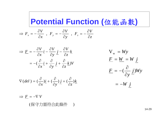**Potential Function (**位能函數 **)**

$$
\Rightarrow F_x = -\frac{\partial V}{\partial x} \, , \, F_y = -\frac{\partial V}{\partial y} \, , \, F_z = -\frac{\partial V}{\partial z}
$$



$$
\nabla (del) = (\frac{\partial}{\partial x})\underline{i} + (\frac{\partial}{\partial y})\underline{j} + (\frac{\partial}{\partial z})\underline{k}
$$

 $\implies F = -\nabla V$ 

( 保守力需符合此條件  $\bigcup$ 

$$
V_w = Wy
$$
  
\n
$$
\underline{F} = \underline{W} = W \underline{j}
$$
  
\n
$$
\underline{F} = -(\frac{\partial}{\partial y} \underline{j})Wy
$$
  
\n
$$
= -W \underline{j}
$$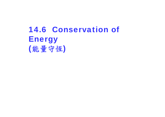# 14.6 Conservation of **Energy** (能量守恆 )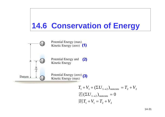# **14.6 Conservation of Energy**



$$
T_1 + V_1 + (\Sigma U_{1 \to 2})_{noncons} = T_2 + V_2
$$
  
\n
$$
\neq (\Sigma U_{1 \to 2})_{noncons} = 0
$$
  
\n
$$
\text{H} \cdot T_1 + V_1 = T_2 + V_2
$$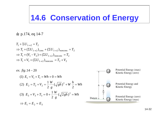# **14.6 Conservation of Energy**

 $\pm$  p.174, eq 14-7

 $T_1 + \Sigma U_{1\rightarrow 2} = T_2$  $\Rightarrow$  T<sub>1</sub> + ( $\sum U_{1\rightarrow 2}$ )<sub>cons</sub> + ( $\sum U_{1\rightarrow 2}$ )<sub>noncons</sub> = T<sub>2</sub>  $\Rightarrow T_1 + (V_1 - V_2) + (\Sigma U_{1\rightarrow 2})_{noncons} = T_2$  $\Rightarrow T_1 + V_1 + (\Sigma U_{1\rightarrow 2})_{noncons} = T_2 + V_2$ 

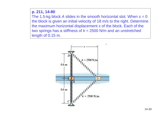#### **p. 211, 14-80**

The 1.5-kg block *A* slides in the smooth horizontal slot. When *s =* 0 the block is given an initial velocity of 18 m/s to the right. Determine the maximum horizontal displacement *s* of the block. Each of the two springs has a stiffness of *k =* 2500 N/m and an unstretched length of 0.15 m.

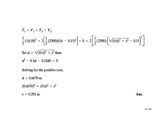$$
T_1 + V_1 = T_2 + V_2
$$
  
\n
$$
\frac{1}{2}(1)(18)^2 + 2\left[\frac{1}{2}(2500)(0.6 - 0.15)^2\right] = 0 + 2\left[\frac{1}{2}(2500)\left(\sqrt{(0.6)^2 + s^2} - 0.15\right)^2\right]
$$
  
\nSet  $d = \sqrt{(0.6)^2 + s^2}$  then  
\n $d^2 - 0.3d - 0.2448 = 0$ 

Solving for the positive root,

 $d = 0.6670 \text{ m}$ 

 $(0.6670)^2 = (0.6)^2 + s^2$ 

 $s = 0.291$  m

Ans.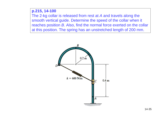#### **p.215, 14-100**

The 2-kg collar is released from rest at *A* and travels along the smooth vertical guide. Determine the speed of the collar when it reaches position *B*. Also, find the normal force exerted on the collar at this position. The spring has an unstretched length of 200 mm.

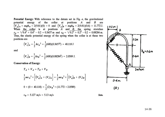Potential Energy: With reference to the datum set in Fig. a, the gravitational potential energy of the collar at positions A and B are  $(V_g)_A = mgh_A = 2(9.81)(0) = 0$  and  $(V_g)_B = mgh_B = 2(9.81)(0.6) = 11.772 \text{ J}.$ <br>When the collar is at positions A and B, the spring stretches<br> $s_A = \sqrt{0.4^2 + 0.4^2 - 0.2} = 0.3657 \text{ m}$  and  $s_B = \sqrt{0.2^2 + 0.2^2 - 0.2} = 0.08284 \text{ m}.$ Thus, the elastic potential energy of the spring when the collar is at these two positions are

$$
(V_e)_A = \frac{1}{2} k s_A^2 = \frac{1}{2} (600)(0.3657^2) = 40.118 \text{ J}
$$

and

$$
\left(V_e\right)_B = \frac{1}{2} k s_B^2 = \frac{1}{2} (600)(0.08284^2) = 2.0589 \text{ J}
$$

**Conservation of Energy:** 

$$
T_A + V_A = T_B + V_B
$$
  
\n
$$
\frac{1}{2} m v_A^2 + \left[ (V_g)_A + (V_e)_A \right] = \frac{1}{2} m v_B^2 + \left[ (V_g)_B + (V_e)_B \right]
$$
  
\n
$$
0 + (0 + 40.118) = \frac{1}{2} (2) v_B^2 + (11.772 + 2.0589)
$$
  
\n
$$
v_B = 5.127 \text{ m/s} = 5.13 \text{ m/s}
$$